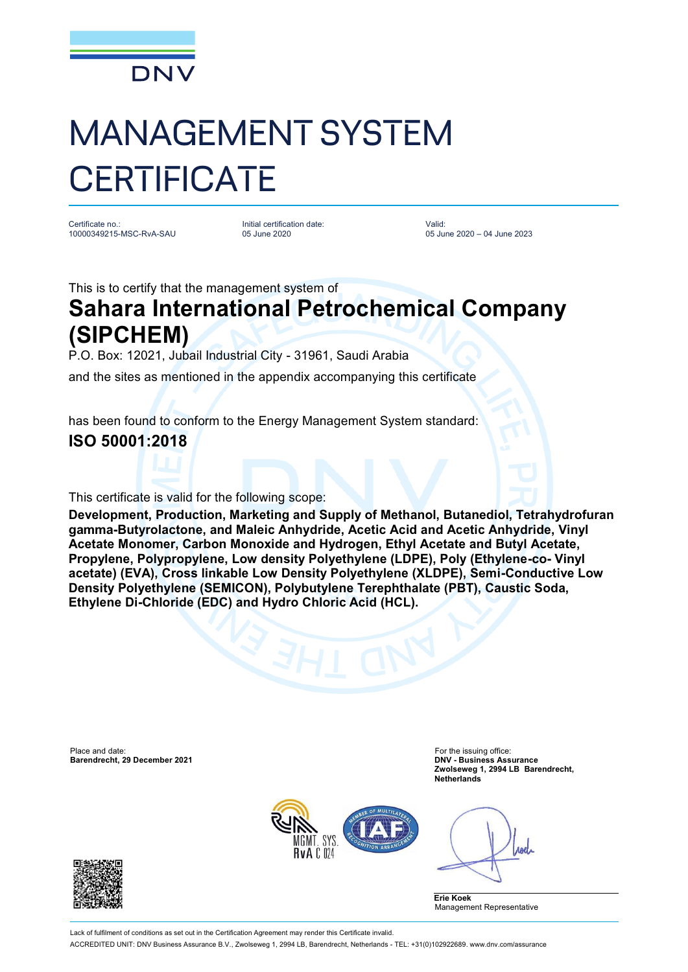

# MANAGEMENT SYSTEM **CERTIFICATE**

Certificate no.: 10000349215-MSC-RvA-SAU Initial certification date: 05 June 2020

Valid: 05 June 2020 – 04 June 2023

This is to certify that the management system of

## **Sahara International Petrochemical Company (SIPCHEM)**

P.O. Box: 12021, Jubail Industrial City - 31961, Saudi Arabia

and the sites as mentioned in the appendix accompanying this certificate

has been found to conform to the Energy Management System standard:

### **ISO 50001:2018**

This certificate is valid for the following scope:

**Development, Production, Marketing and Supply of Methanol, Butanediol, Tetrahydrofuran gamma-Butyrolactone, and Maleic Anhydride, Acetic Acid and Acetic Anhydride, Vinyl Acetate Monomer, Carbon Monoxide and Hydrogen, Ethyl Acetate and Butyl Acetate, Propylene, Polypropylene, Low density Polyethylene (LDPE), Poly (Ethylene-co- Vinyl acetate) (EVA), Cross linkable Low Density Polyethylene (XLDPE), Semi-Conductive Low Density Polyethylene (SEMICON), Polybutylene Terephthalate (PBT), Caustic Soda, Ethylene Di-Chloride (EDC) and Hydro Chloric Acid (HCL).**

Place and date: For the issuing office: For the issuing office: For the issuing office: **Barendrecht, 29 December 2021** 

**Zwolseweg 1, 2994 LB Barendrecht, Netherlands**



Anel

**Erie Koek** Management Representative



Lack of fulfilment of conditions as set out in the Certification Agreement may render this Certificate invalid ACCREDITED UNIT: DNV Business Assurance B.V., Zwolseweg 1, 2994 LB, Barendrecht, Netherlands - TEL: +31(0)102922689. [www.dnv.com/assurance](http://www.dnv.com/assurance)